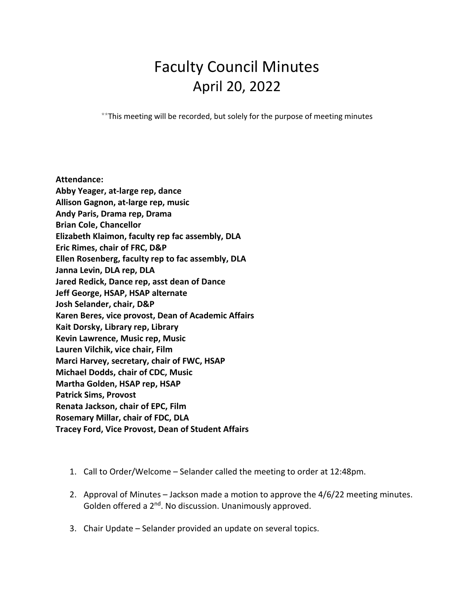## Faculty Council Minutes April 20, 2022

\*\*This meeting will be recorded, but solely for the purpose of meeting minutes

**Attendance: Abby Yeager, at-large rep, dance Allison Gagnon, at-large rep, music Andy Paris, Drama rep, Drama Brian Cole, Chancellor Elizabeth Klaimon, faculty rep fac assembly, DLA Eric Rimes, chair of FRC, D&P Ellen Rosenberg, faculty rep to fac assembly, DLA Janna Levin, DLA rep, DLA Jared Redick, Dance rep, asst dean of Dance Jeff George, HSAP, HSAP alternate Josh Selander, chair, D&P Karen Beres, vice provost, Dean of Academic Affairs Kait Dorsky, Library rep, Library Kevin Lawrence, Music rep, Music Lauren Vilchik, vice chair, Film Marci Harvey, secretary, chair of FWC, HSAP Michael Dodds, chair of CDC, Music Martha Golden, HSAP rep, HSAP Patrick Sims, Provost Renata Jackson, chair of EPC, Film Rosemary Millar, chair of FDC, DLA Tracey Ford, Vice Provost, Dean of Student Affairs** 

- 1. Call to Order/Welcome Selander called the meeting to order at 12:48pm.
- 2. Approval of Minutes Jackson made a motion to approve the 4/6/22 meeting minutes. Golden offered a 2<sup>nd</sup>. No discussion. Unanimously approved.
- 3. Chair Update Selander provided an update on several topics.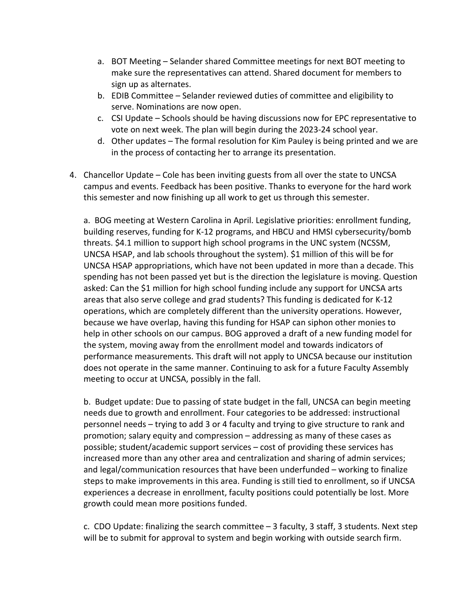- a. BOT Meeting Selander shared Committee meetings for next BOT meeting to make sure the representatives can attend. Shared document for members to sign up as alternates.
- b. EDIB Committee Selander reviewed duties of committee and eligibility to serve. Nominations are now open.
- c. CSI Update Schools should be having discussions now for EPC representative to vote on next week. The plan will begin during the 2023-24 school year.
- d. Other updates The formal resolution for Kim Pauley is being printed and we are in the process of contacting her to arrange its presentation.
- 4. Chancellor Update Cole has been inviting guests from all over the state to UNCSA campus and events. Feedback has been positive. Thanks to everyone for the hard work this semester and now finishing up all work to get us through this semester.

a. BOG meeting at Western Carolina in April. Legislative priorities: enrollment funding, building reserves, funding for K-12 programs, and HBCU and HMSI cybersecurity/bomb threats. \$4.1 million to support high school programs in the UNC system (NCSSM, UNCSA HSAP, and lab schools throughout the system). \$1 million of this will be for UNCSA HSAP appropriations, which have not been updated in more than a decade. This spending has not been passed yet but is the direction the legislature is moving. Question asked: Can the \$1 million for high school funding include any support for UNCSA arts areas that also serve college and grad students? This funding is dedicated for K-12 operations, which are completely different than the university operations. However, because we have overlap, having this funding for HSAP can siphon other monies to help in other schools on our campus. BOG approved a draft of a new funding model for the system, moving away from the enrollment model and towards indicators of performance measurements. This draft will not apply to UNCSA because our institution does not operate in the same manner. Continuing to ask for a future Faculty Assembly meeting to occur at UNCSA, possibly in the fall.

b. Budget update: Due to passing of state budget in the fall, UNCSA can begin meeting needs due to growth and enrollment. Four categories to be addressed: instructional personnel needs – trying to add 3 or 4 faculty and trying to give structure to rank and promotion; salary equity and compression – addressing as many of these cases as possible; student/academic support services – cost of providing these services has increased more than any other area and centralization and sharing of admin services; and legal/communication resources that have been underfunded – working to finalize steps to make improvements in this area. Funding is still tied to enrollment, so if UNCSA experiences a decrease in enrollment, faculty positions could potentially be lost. More growth could mean more positions funded.

c. CDO Update: finalizing the search committee  $-3$  faculty, 3 staff, 3 students. Next step will be to submit for approval to system and begin working with outside search firm.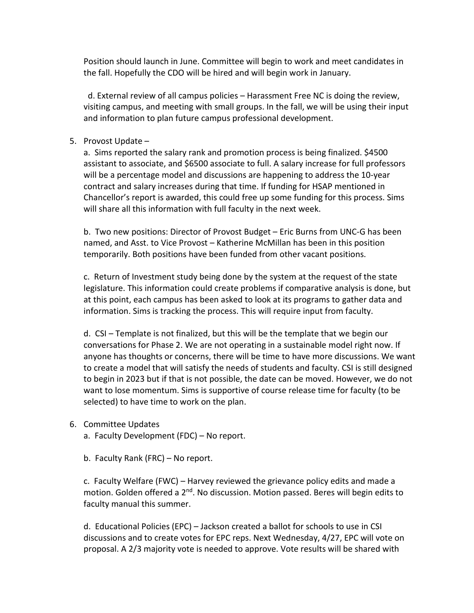Position should launch in June. Committee will begin to work and meet candidates in the fall. Hopefully the CDO will be hired and will begin work in January.

 d. External review of all campus policies – Harassment Free NC is doing the review, visiting campus, and meeting with small groups. In the fall, we will be using their input and information to plan future campus professional development.

5. Provost Update –

a. Sims reported the salary rank and promotion process is being finalized. \$4500 assistant to associate, and \$6500 associate to full. A salary increase for full professors will be a percentage model and discussions are happening to address the 10-year contract and salary increases during that time. If funding for HSAP mentioned in Chancellor's report is awarded, this could free up some funding for this process. Sims will share all this information with full faculty in the next week.

b. Two new positions: Director of Provost Budget – Eric Burns from UNC-G has been named, and Asst. to Vice Provost – Katherine McMillan has been in this position temporarily. Both positions have been funded from other vacant positions.

c. Return of Investment study being done by the system at the request of the state legislature. This information could create problems if comparative analysis is done, but at this point, each campus has been asked to look at its programs to gather data and information. Sims is tracking the process. This will require input from faculty.

d. CSI – Template is not finalized, but this will be the template that we begin our conversations for Phase 2. We are not operating in a sustainable model right now. If anyone has thoughts or concerns, there will be time to have more discussions. We want to create a model that will satisfy the needs of students and faculty. CSI is still designed to begin in 2023 but if that is not possible, the date can be moved. However, we do not want to lose momentum. Sims is supportive of course release time for faculty (to be selected) to have time to work on the plan.

- 6. Committee Updates
	- a. Faculty Development (FDC) No report.
	- b. Faculty Rank (FRC) No report.

c. Faculty Welfare (FWC) – Harvey reviewed the grievance policy edits and made a motion. Golden offered a  $2<sup>nd</sup>$ . No discussion. Motion passed. Beres will begin edits to faculty manual this summer.

d. Educational Policies (EPC) – Jackson created a ballot for schools to use in CSI discussions and to create votes for EPC reps. Next Wednesday, 4/27, EPC will vote on proposal. A 2/3 majority vote is needed to approve. Vote results will be shared with